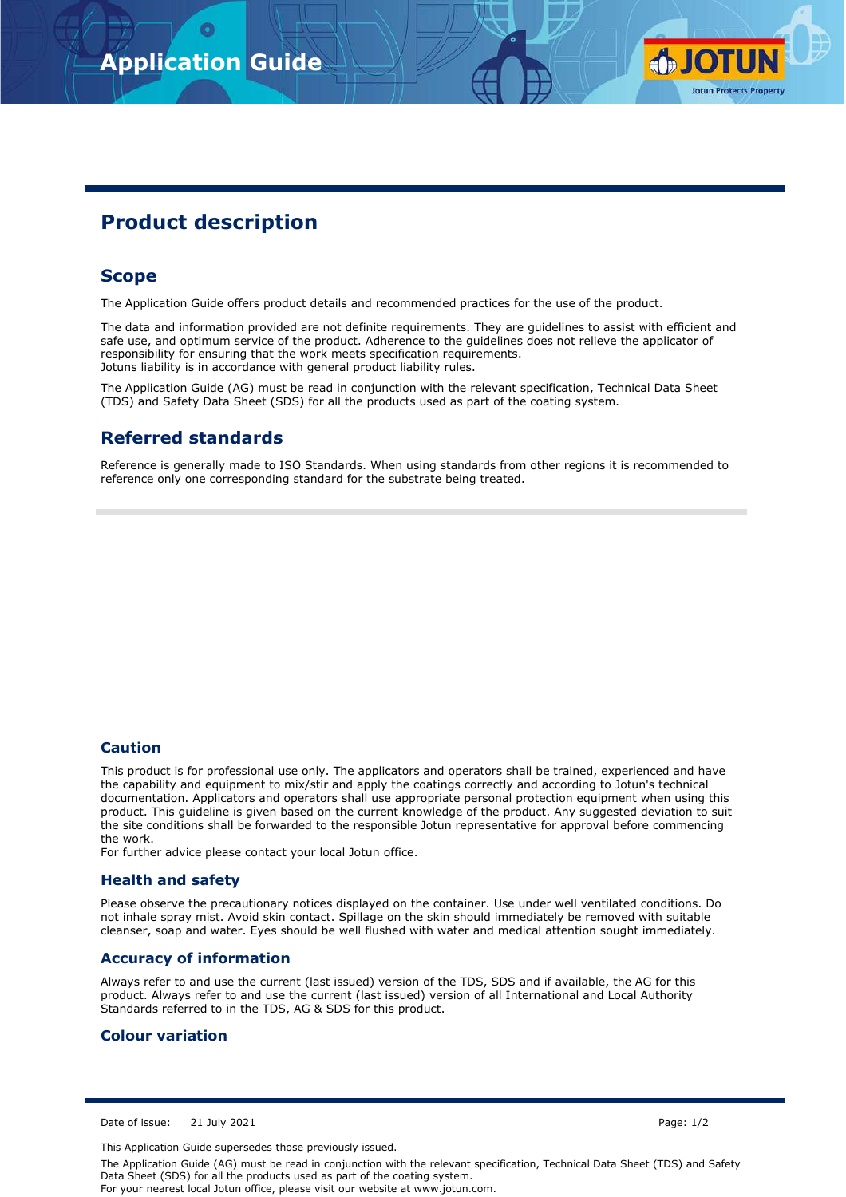

# **Product description**

## **Scope**

The Application Guide offers product details and recommended practices for the use of the product.

The data and information provided are not definite requirements. They are guidelines to assist with efficient and safe use, and optimum service of the product. Adherence to the guidelines does not relieve the applicator of responsibility for ensuring that the work meets specification requirements. Jotuns liability is in accordance with general product liability rules.

The Application Guide (AG) must be read in conjunction with the relevant specification, Technical Data Sheet (TDS) and Safety Data Sheet (SDS) for all the products used as part of the coating system.

## **Referred standards**

Reference is generally made to ISO Standards. When using standards from other regions it is recommended to reference only one corresponding standard for the substrate being treated.

#### **Caution**

This product is for professional use only. The applicators and operators shall be trained, experienced and have the capability and equipment to mix/stir and apply the coatings correctly and according to Jotun's technical documentation. Applicators and operators shall use appropriate personal protection equipment when using this product. This guideline is given based on the current knowledge of the product. Any suggested deviation to suit the site conditions shall be forwarded to the responsible Jotun representative for approval before commencing the work.

For further advice please contact your local Jotun office.

### **Health and safety**

Please observe the precautionary notices displayed on the container. Use under well ventilated conditions. Do not inhale spray mist. Avoid skin contact. Spillage on the skin should immediately be removed with suitable cleanser, soap and water. Eyes should be well flushed with water and medical attention sought immediately.

#### **Accuracy of information**

Always refer to and use the current (last issued) version of the TDS, SDS and if available, the AG for this product. Always refer to and use the current (last issued) version of all International and Local Authority Standards referred to in the TDS, AG & SDS for this product.

### **Colour variation**

Date of issue: 21 July 2021 Page: 1/2

This Application Guide supersedes those previously issued.

The Application Guide (AG) must be read in conjunction with the relevant specification, Technical Data Sheet (TDS) and Safety Data Sheet (SDS) for all the products used as part of the coating system. For your nearest local Jotun office, please visit our website at www.jotun.com.